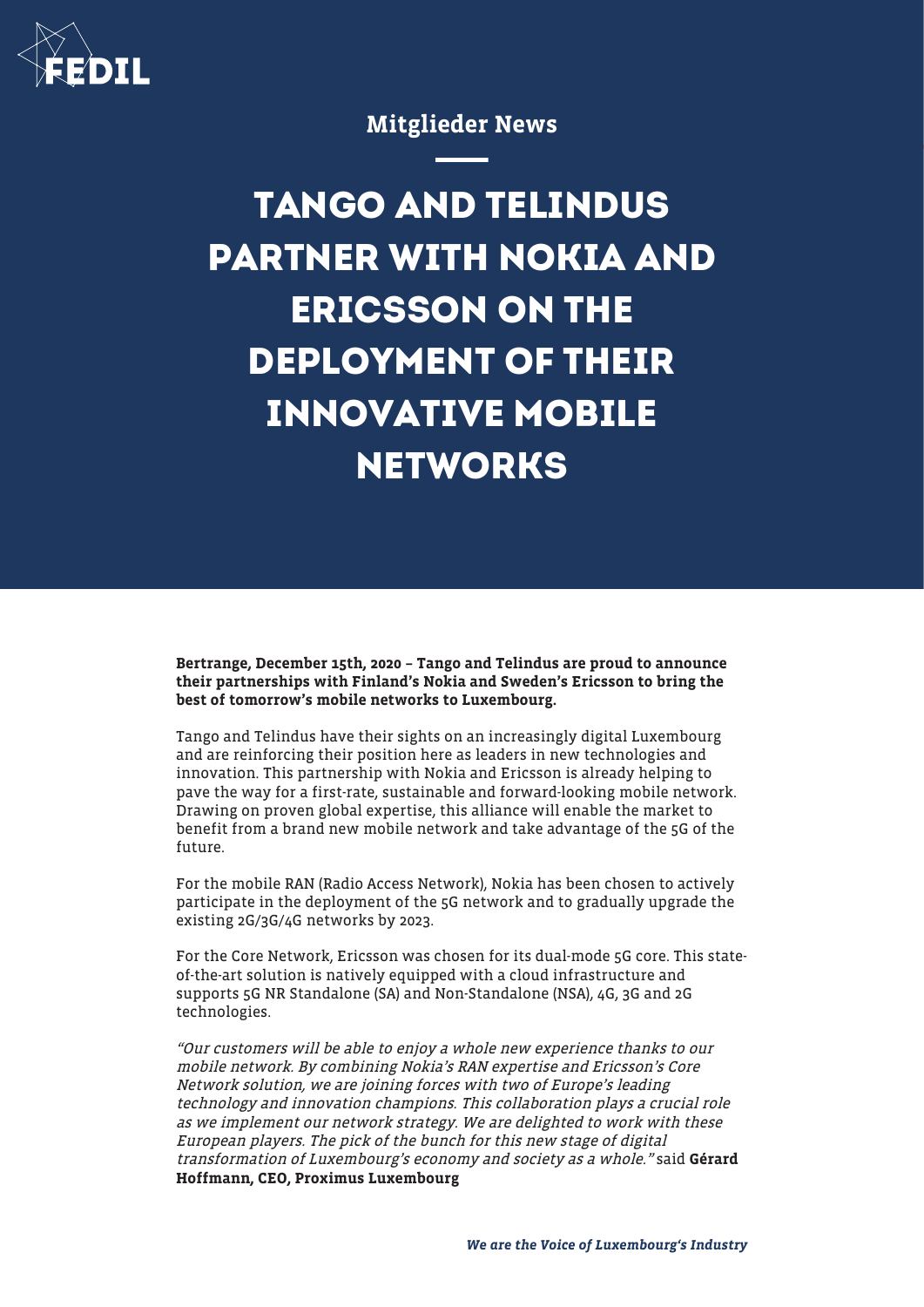

## Mitglieder News

# **TANGO AND TELINDUS PARTNER WITH NOKIA AND ERICSSON ON THE DEPLOYMENT OF THEIR INNOVATIVE MOBILE NETWORKS**

Bertrange, December 15th, 2020 – Tango and Telindus are proud to announce their partnerships with Finland's Nokia and Sweden's Ericsson to bring the best of tomorrow's mobile networks to Luxembourg.

Tango and Telindus have their sights on an increasingly digital Luxembourg and are reinforcing their position here as leaders in new technologies and innovation. This partnership with Nokia and Ericsson is already helping to pave the way for a first-rate, sustainable and forward-looking mobile network. Drawing on proven global expertise, this alliance will enable the market to benefit from a brand new mobile network and take advantage of the 5G of the future.

For the mobile RAN (Radio Access Network), Nokia has been chosen to actively participate in the deployment of the 5G network and to gradually upgrade the existing 2G/3G/4G networks by 2023.

For the Core Network, Ericsson was chosen for its dual-mode 5G core. This stateof-the-art solution is natively equipped with a cloud infrastructure and supports 5G NR Standalone (SA) and Non-Standalone (NSA), 4G, 3G and 2G technologies.

"Our customers will be able to enjoy a whole new experience thanks to our mobile network. By combining Nokia's RAN expertise and Ericsson's Core Network solution, we are joining forces with two of Europe's leading technology and innovation champions. This collaboration plays a crucial role as we implement our network strategy. We are delighted to work with these European players. The pick of the bunch for this new stage of digital transformation of Luxembourg's economy and society as a whole." said Gérard Hoffmann, CEO, Proximus Luxembourg